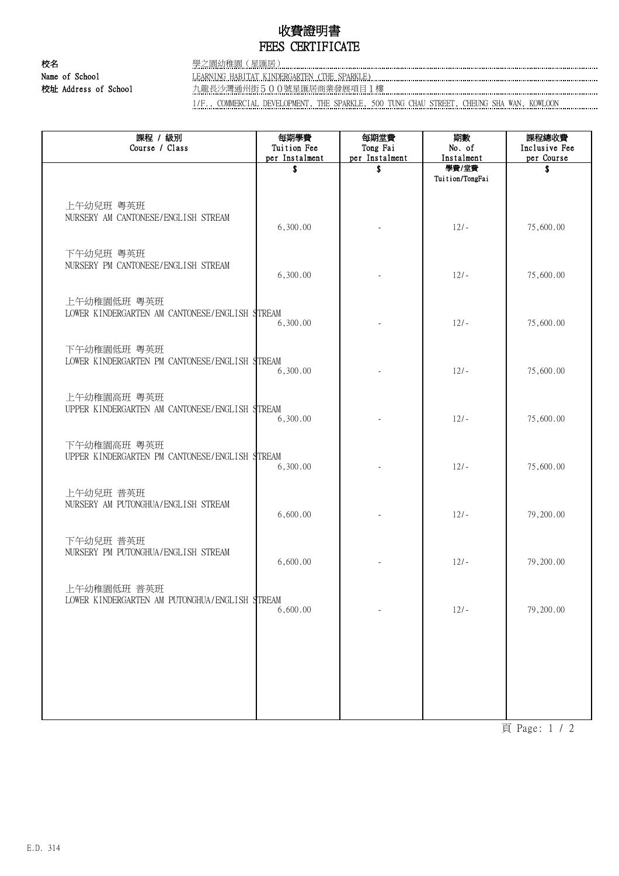## 收費證明書 FEES CERTIFICATE

校名 學之園幼稚園(星匯居) Name of School **LEARNING HABITAT KINDERGARTEN (THE SPARKLE)** 

校址 Address of School 九龍長沙灣通州街500號星匯居商業發展項目1樓 …………………………………………………………………………………………

1/F., COMMERCIAL DEVELOPMENT, THE SPARKLE, 500 TUNG CHAU STREET, CHEUNG SHA WAN, KOWLOON

| 課程 / 級別<br>Course / Class                                     | 每期學費<br>Tuition Fee<br>per Instalment | 每期堂費<br>Tong Fai<br>per Instalment | 期數<br>No. of<br>Instalment | 課程總收費<br>Inclusive Fee<br>per Course |
|---------------------------------------------------------------|---------------------------------------|------------------------------------|----------------------------|--------------------------------------|
|                                                               | \$                                    | \$                                 | 學費/堂費<br>Tuition/TongFai   | \$                                   |
| 上午幼兒班 粵英班<br>NURSERY AM CANTONESE/ENGLISH STREAM              | 6,300.00                              |                                    | $12/-$                     | 75,600.00                            |
| 下午幼兒班 粵英班<br>NURSERY PM CANTONESE/ENGLISH STREAM              | 6,300.00                              |                                    | $12/-$                     | 75,600.00                            |
| 上午幼稚園低班 粵英班<br>LOWER KINDERGARTEN AM CANTONESE/ENGLISH STREAM | 6,300.00                              |                                    | $12/-$                     | 75,600.00                            |
| 下午幼稚園低班 粵英班<br>LOWER KINDERGARTEN PM CANTONESE/ENGLISH STREAM | 6,300.00                              |                                    | $12/-$                     | 75,600.00                            |
| 上午幼稚園高班 粵英班<br>UPPER KINDERGARTEN AM CANTONESE/ENGLISH STREAM | 6,300.00                              |                                    | $12/-$                     | 75,600.00                            |
| 下午幼稚園高班 粵英班<br>UPPER KINDERGARTEN PM CANTONESE/ENGLISH STREAM | 6,300.00                              |                                    | $12/-$                     | 75,600.00                            |
| 上午幼兒班 普英班<br>NURSERY AM PUTONGHUA/ENGLISH STREAM              | 6,600.00                              |                                    | $12/-$                     | 79,200.00                            |
| 下午幼兒班 普英班<br>NURSERY PM PUTONGHUA/ENGLISH STREAM              | 6,600.00                              |                                    | $12/-$                     | 79,200.00                            |
| 上午幼稚園低班 普英班<br>LOWER KINDERGARTEN AM PUTONGHUA/ENGLISH STREAM | 6,600.00                              |                                    | $12/-$                     | 79,200.00                            |
|                                                               |                                       |                                    |                            |                                      |
|                                                               |                                       |                                    |                            |                                      |
|                                                               |                                       |                                    |                            |                                      |

頁 Page: 1 / 2